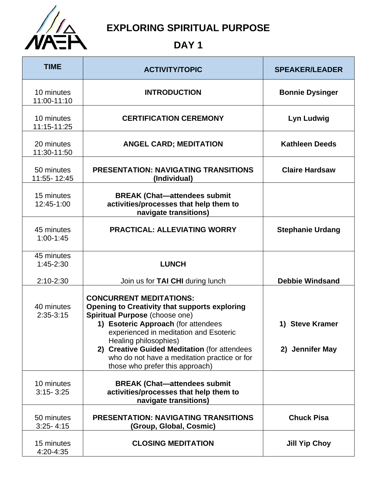

## **EXPLORING SPIRITUAL PURPOSE**

## **DAY 1**

| <b>TIME</b>                 | <b>ACTIVITY/TOPIC</b>                                                                                                                                                                                                              | <b>SPEAKER/LEADER</b>   |
|-----------------------------|------------------------------------------------------------------------------------------------------------------------------------------------------------------------------------------------------------------------------------|-------------------------|
| 10 minutes<br>11:00-11:10   | <b>INTRODUCTION</b>                                                                                                                                                                                                                | <b>Bonnie Dysinger</b>  |
| 10 minutes<br>11:15-11:25   | <b>CERTIFICATION CEREMONY</b>                                                                                                                                                                                                      | <b>Lyn Ludwig</b>       |
| 20 minutes<br>11:30-11:50   | <b>ANGEL CARD; MEDITATION</b>                                                                                                                                                                                                      | <b>Kathleen Deeds</b>   |
| 50 minutes<br>11:55-12:45   | <b>PRESENTATION: NAVIGATING TRANSITIONS</b><br>(Individual)                                                                                                                                                                        | <b>Claire Hardsaw</b>   |
| 15 minutes<br>12:45-1:00    | <b>BREAK (Chat-attendees submit</b><br>activities/processes that help them to<br>navigate transitions)                                                                                                                             |                         |
| 45 minutes<br>$1:00-1:45$   | <b>PRACTICAL: ALLEVIATING WORRY</b>                                                                                                                                                                                                | <b>Stephanie Urdang</b> |
| 45 minutes<br>$1:45 - 2:30$ | <b>LUNCH</b>                                                                                                                                                                                                                       |                         |
| $2:10-2:30$                 | Join us for TAI CHI during lunch                                                                                                                                                                                                   | <b>Debbie Windsand</b>  |
| 40 minutes<br>$2:35-3:15$   | <b>CONCURRENT MEDITATIONS:</b><br><b>Opening to Creativity that supports exploring</b><br>Spiritual Purpose (choose one)<br>1) Esoteric Approach (for attendees<br>experienced in meditation and Esoteric<br>Healing philosophies) | 1) Steve Kramer         |
|                             | 2) Creative Guided Meditation (for attendees<br>who do not have a meditation practice or for<br>those who prefer this approach)                                                                                                    | 2) Jennifer May         |
| 10 minutes<br>$3:15 - 3:25$ | <b>BREAK (Chat-attendees submit)</b><br>activities/processes that help them to<br>navigate transitions)                                                                                                                            |                         |
| 50 minutes<br>$3:25 - 4:15$ | <b>PRESENTATION: NAVIGATING TRANSITIONS</b><br>(Group, Global, Cosmic)                                                                                                                                                             | <b>Chuck Pisa</b>       |
| 15 minutes<br>4:20-4:35     | <b>CLOSING MEDITATION</b>                                                                                                                                                                                                          | <b>Jill Yip Choy</b>    |